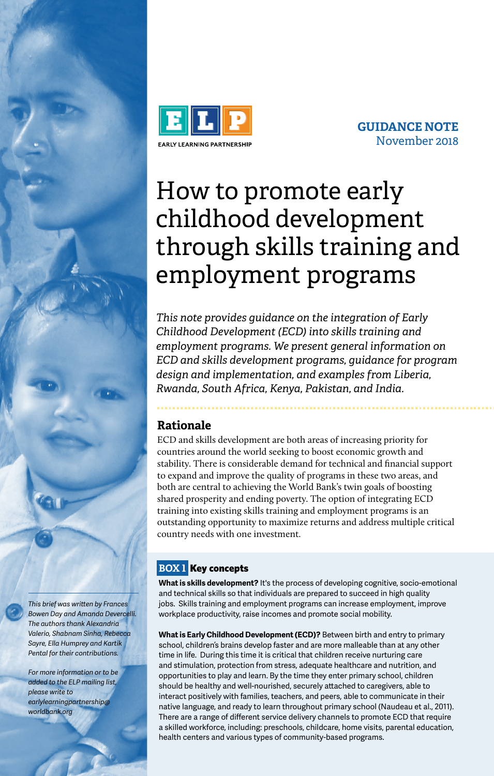

**GUIDANCE NOTE** November 2018

# row co j<br>hildhoo How to promote early childhood development through skills training and employment programs

*This note provides guidance on the integration of Early Childhood Development (ECD) into skills training and employment programs. We present general information on ECD and skills development programs, guidance for program design and implementation, and examples from Liberia, Rwanda, South Africa, Kenya, Pakistan, and India.*

# **Rationale**

ECD and skills development are both areas of increasing priority for countries around the world seeking to boost economic growth and stability. There is considerable demand for technical and financial support to expand and improve the quality of programs in these two areas, and both are central to achieving the World Bank's twin goals of boosting shared prosperity and ending poverty. The option of integrating ECD training into existing skills training and employment programs is an outstanding opportunity to maximize returns and address multiple critical country needs with one investment.

# **BOX 1** Key concepts

**What is skills development?** It's the process of developing cognitive, socio-emotional and technical skills so that individuals are prepared to succeed in high quality jobs. Skills training and employment programs can increase employment, improve workplace productivity, raise incomes and promote social mobility.

**What is Early Childhood Development (ECD)?** Between birth and entry to primary school, children's brains develop faster and are more malleable than at any other time in life. During this time it is critical that children receive nurturing care and stimulation, protection from stress, adequate healthcare and nutrition, and opportunities to play and learn. By the time they enter primary school, children should be healthy and well-nourished, securely attached to caregivers, able to interact positively with families, teachers, and peers, able to communicate in their native language, and ready to learn throughout primary school (Naudeau et al., 2011). There are a range of different service delivery channels to promote ECD that require a skilled workforce, including: preschools, childcare, home visits, parental education, health centers and various types of community-based programs.

*This brief was written by Frances Bowen Day and Amanda Devercelli. The authors thank Alexandria Valerio, Shabnam Sinha, Rebecca Sayre, Ella Humprey and Kartik Pental for their contributions.* 

*For more information or to be added to the ELP mailing list, please write to earlylearningpartnership@ worldbank.org*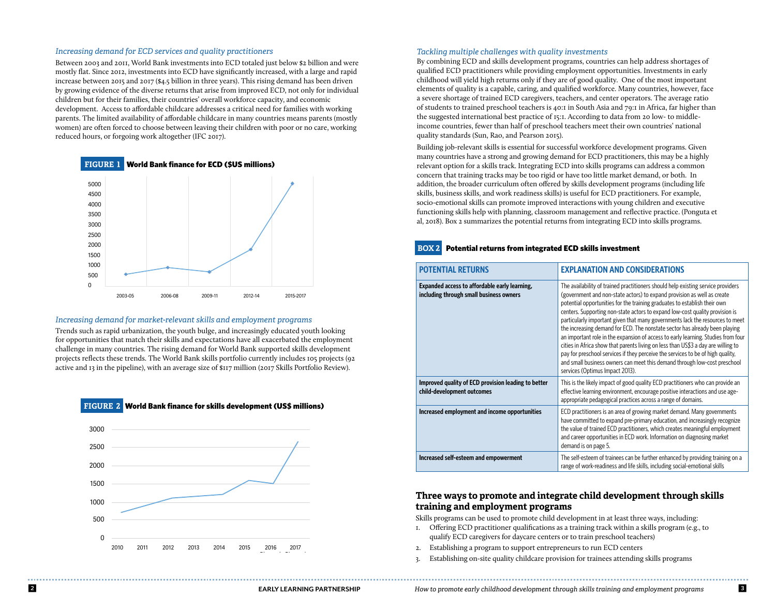#### *Increasing demand for ECD services and quality practitioners*

Between 2003 and 2011, World Bank investments into ECD totaled just below \$2 billion and were mostly flat. Since 2012, investments into ECD have significantly increased, with a large and rapid increase between 2015 and 2017 (\$4.5 billion in three years). This rising demand has been driven by growing evidence of the diverse returns that arise from improved ECD, not only for individual children but for their families, their countries' overall workforce capacity, and economic development. Access to affordable childcare addresses a critical need for families with working parents. The limited availability of affordable childcare in many countries means parents (mostly women) are often forced to choose between leaving their children with poor or no care, working reduced hours, or forgoing work altogether (IFC 2017).



### Increasing demand for market-relevant skills and employment programs

**FIGURE 2** 

Trends such as rapid urbanization, the youth bulge, and increasingly educated youth looking for opportunities that match their skills and expectations have all exacerbated the employment challenge in many countries. The rising demand for World Bank supported skills development enancinge in many countries. The rising demand for world bank supported skins development<br>projects reflects these trends. The World Bank skills portfolio currently includes 105 projects (92 active and 13 in the pipeline), with an average size of \$117 million (2017 Skills Portfolio Review).  $\overline{\phantom{0}}$ 

**FIGURE 2** World Bank finance for skills development (US\$ millions)



#### *Tackling multiple challenges with quality investments*

By combining ECD and skills development programs, countries can help address shortages of qualified ECD practitioners while providing employment opportunities. Investments in early childhood will yield high returns only if they are of good quality. One of the most important elements of quality is a capable, caring, and qualified workforce. Many countries, however, face a severe shortage of trained ECD caregivers, teachers, and center operators. The average ratio of students to trained preschool teachers is 40:1 in South Asia and 79:1 in Africa, far higher than the suggested international best practice of 15:1. According to data from 20 low- to middleincome countries, fewer than half of preschool teachers meet their own countries' national quality standards (Sun, Rao, and Pearson 2015).

Building job-relevant skills is essential for successful workforce development programs. Given many countries have a strong and growing demand for ECD practitioners, this may be a highly relevant option for a skills track. Integrating ECD into skills programs can address a common concern that training tracks may be too rigid or have too little market demand, or both. In addition, the broader curriculum often offered by skills development programs (including life skills, business skills, and work readiness skills) is useful for ECD practitioners. For example, socio-emotional skills can promote improved interactions with young children and executive functioning skills help with planning, classroom management and reflective practice. (Ponguta et al, 2018). Box 2 summarizes the potential returns from integrating ECD into skills programs.

#### **BOX 2** Potential returns from integrated ECD skills investment

| <b>POTENTIAL RETURNS</b>                                                                 | <b>EXPLANATION AND CONSIDERATIONS</b>                                                                                                                                                                                                                                                                                                                                                                                                                                                                                                                                                                                                                                                                                                                                                                                                                                 |
|------------------------------------------------------------------------------------------|-----------------------------------------------------------------------------------------------------------------------------------------------------------------------------------------------------------------------------------------------------------------------------------------------------------------------------------------------------------------------------------------------------------------------------------------------------------------------------------------------------------------------------------------------------------------------------------------------------------------------------------------------------------------------------------------------------------------------------------------------------------------------------------------------------------------------------------------------------------------------|
| Expanded access to affordable early learning,<br>including through small business owners | The availability of trained practitioners should help existing service providers<br>(government and non-state actors) to expand provision as well as create<br>potential opportunities for the training graduates to establish their own<br>centers. Supporting non-state actors to expand low-cost quality provision is<br>particularly important given that many governments lack the resources to meet<br>the increasing demand for ECD. The nonstate sector has already been playing<br>an important role in the expansion of access to early learning. Studies from four<br>cities in Africa show that parents living on less than US\$3 a day are willing to<br>pay for preschool services if they perceive the services to be of high quality,<br>and small business owners can meet this demand through low-cost preschool<br>services (Optimus Impact 2013). |
| Improved quality of ECD provision leading to better<br>child-development outcomes        | This is the likely impact of good quality ECD practitioners who can provide an<br>effective learning environment, encourage positive interactions and use age-<br>appropriate pedagogical practices across a range of domains.                                                                                                                                                                                                                                                                                                                                                                                                                                                                                                                                                                                                                                        |
| Increased employment and income opportunities                                            | ECD practitioners is an area of growing market demand. Many governments<br>have committed to expand pre-primary education, and increasingly recognize<br>the value of trained ECD practitioners, which creates meaningful employment<br>and career opportunities in ECD work. Information on diagnosing market<br>demand is on page 5.                                                                                                                                                                                                                                                                                                                                                                                                                                                                                                                                |
| Increased self-esteem and empowerment                                                    | The self-esteem of trainees can be further enhanced by providing training on a<br>range of work-readiness and life skills, including social-emotional skills                                                                                                                                                                                                                                                                                                                                                                                                                                                                                                                                                                                                                                                                                                          |

# **Three ways to promote and integrate child development through skills training and employment programs**

Skills programs can be used to promote child development in at least three ways, including:

- 1. Offering ECD practitioner qualifications as a training track within a skills program (e.g., to qualify ECD caregivers for daycare centers or to train preschool teachers)
- 2. Establishing a program to support entrepreneurs to run ECD centers
- 3. Establishing on-site quality childcare provision for trainees attending skills programs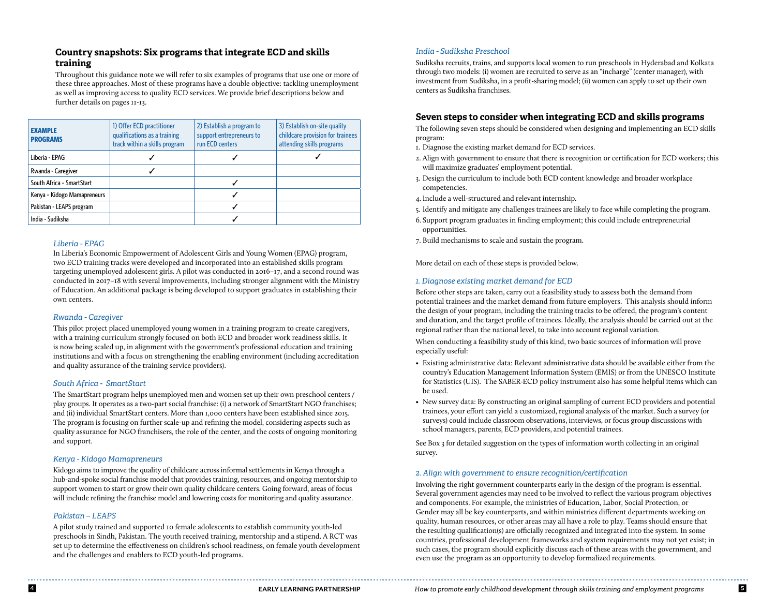# **Country snapshots: Six programs that integrate ECD and skills training**

Throughout this guidance note we will refer to six examples of programs that use one or more of these three approaches. Most of these programs have a double objective: tackling unemployment as well as improving access to quality ECD services. We provide brief descriptions below and further details on pages 11-13.

| <b>EXAMPLE</b><br><b>PROGRAMS</b> | 1) Offer ECD practitioner<br>qualifications as a training<br>track within a skills program | 2) Establish a program to<br>support entrepreneurs to<br>run ECD centers | 3) Establish on-site quality<br>childcare provision for trainees<br>attending skills programs |
|-----------------------------------|--------------------------------------------------------------------------------------------|--------------------------------------------------------------------------|-----------------------------------------------------------------------------------------------|
| Liberia - EPAG                    |                                                                                            |                                                                          |                                                                                               |
| Rwanda - Caregiver                |                                                                                            |                                                                          |                                                                                               |
| South Africa - SmartStart         |                                                                                            |                                                                          |                                                                                               |
| Kenya - Kidogo Mamapreneurs       |                                                                                            | ✓                                                                        |                                                                                               |
| Pakistan - LEAPS program          |                                                                                            |                                                                          |                                                                                               |
| India - Sudiksha                  |                                                                                            |                                                                          |                                                                                               |

### *Liberia - EPAG*

In Liberia's Economic Empowerment of Adolescent Girls and Young Women (EPAG) program, two ECD training tracks were developed and incorporated into an established skills program targeting unemployed adolescent girls. A pilot was conducted in 2016–17, and a second round was conducted in 2017–18 with several improvements, including stronger alignment with the Ministry of Education. An additional package is being developed to support graduates in establishing their own centers.

# *Rwanda - Caregiver*

This pilot project placed unemployed young women in a training program to create caregivers, with a training curriculum strongly focused on both ECD and broader work readiness skills. It is now being scaled up, in alignment with the government's professional education and training institutions and with a focus on strengthening the enabling environment (including accreditation and quality assurance of the training service providers).

# *South Africa - SmartStart*

The SmartStart program helps unemployed men and women set up their own preschool centers / play groups. It operates as a two-part social franchise: (i) a network of SmartStart NGO franchises; and (ii) individual SmartStart centers. More than 1,000 centers have been established since 2015. The program is focusing on further scale-up and refining the model, considering aspects such as quality assurance for NGO franchisers, the role of the center, and the costs of ongoing monitoring and support.

### *Kenya - Kidogo Mamapreneurs*

Kidogo aims to improve the quality of childcare across informal settlements in Kenya through a hub-and-spoke social franchise model that provides training, resources, and ongoing mentorship to support women to start or grow their own quality childcare centers. Going forward, areas of focus will include refining the franchise model and lowering costs for monitoring and quality assurance.

### *Pakistan – LEAPS*

A pilot study trained and supported 10 female adolescents to establish community youth-led preschools in Sindh, Pakistan. The youth received training, mentorship and a stipend. A RCT was set up to determine the effectiveness on children's school readiness, on female youth development and the challenges and enablers to ECD youth-led programs.

# *India - Sudiksha Preschool*

Sudiksha recruits, trains, and supports local women to run preschools in Hyderabad and Kolkata through two models: (i) women are recruited to serve as an "incharge" (center manager), with investment from Sudiksha, in a profit-sharing model; (ii) women can apply to set up their own centers as Sudiksha franchises.

# **Seven steps to consider when integrating ECD and skills programs**

The following seven steps should be considered when designing and implementing an ECD skills program:

1. Diagnose the existing market demand for ECD services.

- 2. Align with government to ensure that there is recognition or certification for ECD workers; this will maximize graduates' employment potential.
- 3. Design the curriculum to include both ECD content knowledge and broader workplace competencies.
- 4. Include a well-structured and relevant internship.
- 5. Identify and mitigate any challenges trainees are likely to face while completing the program.
- 6. Support program graduates in finding employment; this could include entrepreneurial opportunities.
- 7. Build mechanisms to scale and sustain the program.

More detail on each of these steps is provided below.

# *1. Diagnose existing market demand for ECD*

Before other steps are taken, carry out a feasibility study to assess both the demand from potential trainees and the market demand from future employers. This analysis should inform the design of your program, including the training tracks to be offered, the program's content and duration, and the target profile of trainees. Ideally, the analysis should be carried out at the regional rather than the national level, to take into account regional variation.

When conducting a feasibility study of this kind, two basic sources of information will prove especially useful:

- Existing administrative data: Relevant administrative data should be available either from the country's Education Management Information System (EMIS) or from the UNESCO Institute for Statistics (UIS). The SABER-ECD policy instrument also has some helpful items which can be used.
- New survey data: By constructing an original sampling of current ECD providers and potential trainees, your effort can yield a customized, regional analysis of the market. Such a survey (or surveys) could include classroom observations, interviews, or focus group discussions with school managers, parents, ECD providers, and potential trainees.

See Box 3 for detailed suggestion on the types of information worth collecting in an original survey.

### *2. Align with government to ensure recognition/certification*

Involving the right government counterparts early in the design of the program is essential. Several government agencies may need to be involved to reflect the various program objectives and components. For example, the ministries of Education, Labor, Social Protection, or Gender may all be key counterparts, and within ministries different departments working on quality, human resources, or other areas may all have a role to play. Teams should ensure that the resulting qualification(s) are officially recognized and integrated into the system. In some countries, professional development frameworks and system requirements may not yet exist; in such cases, the program should explicitly discuss each of these areas with the government, and even use the program as an opportunity to develop formalized requirements.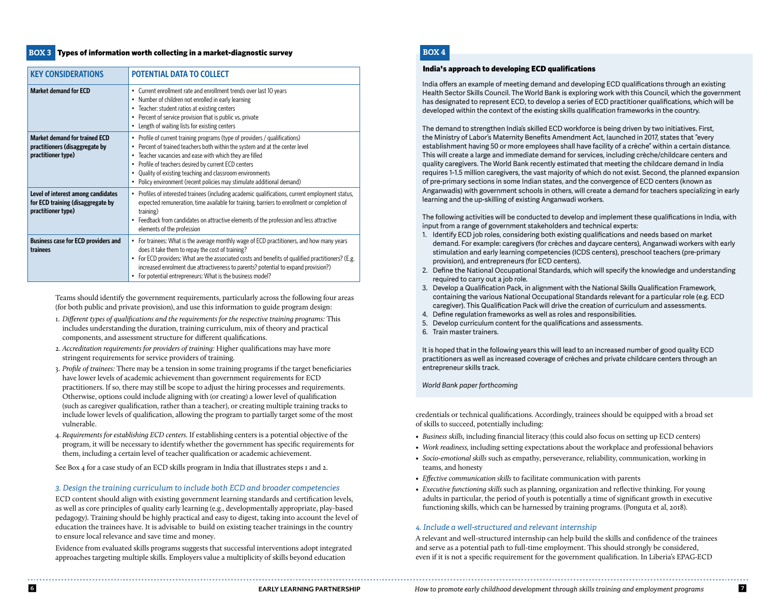### **BOX 3** Types of information worth collecting in a market-diagnostic survey

| <b>KEY CONSIDERATIONS</b>                                                                     | <b>POTENTIAL DATA TO COLLECT</b>                                                                                                                                                                                                                                                                                                                                                                                                     |
|-----------------------------------------------------------------------------------------------|--------------------------------------------------------------------------------------------------------------------------------------------------------------------------------------------------------------------------------------------------------------------------------------------------------------------------------------------------------------------------------------------------------------------------------------|
| <b>Market demand for ECD</b>                                                                  | Current enrollment rate and enrollment trends over last 10 years<br>$\bullet$<br>Number of children not enrolled in early learning<br>٠<br>Teacher: student ratios at existing centers<br>$\bullet$<br>Percent of service provision that is public vs. private<br>$\bullet$<br>Length of waiting lists for existing centers<br>$\bullet$                                                                                             |
| <b>Market demand for trained ECD</b><br>practitioners (disaggregate by<br>practitioner type)  | • Profile of current training programs (type of providers / qualifications)<br>Percent of trained teachers both within the system and at the center level<br>$\bullet$<br>Teacher vacancies and ease with which they are filled<br>٠<br>Profile of teachers desired by current ECD centers<br>٠<br>Quality of existing teaching and classroom environments<br>• Policy environment (recent policies may stimulate additional demand) |
| Level of interest among candidates<br>for ECD training (disaggregate by<br>practitioner type) | • Profiles of interested trainees (including academic qualifications, current employment status,<br>expected remuneration, time available for training, barriers to enrollment or completion of<br>training)<br>• Feedback from candidates on attractive elements of the profession and less attractive<br>elements of the profession                                                                                                |
| <b>Business case for ECD providers and</b><br>trainees                                        | • For trainees: What is the average monthly wage of ECD practitioners, and how many years<br>does it take them to repay the cost of training?<br>For ECD providers: What are the associated costs and benefits of qualified practitioners? (E.g.<br>$\bullet$<br>increased enrolment due attractiveness to parents? potential to expand provision?)<br>For potential entrepreneurs: What is the business model?                      |

Teams should identify the government requirements, particularly across the following four areas (for both public and private provision), and use this information to guide program design:

- 1. *Different types of qualifications and the requirements for the respective training programs:* This includes understanding the duration, training curriculum, mix of theory and practical components, and assessment structure for different qualifications.
- 2. *Accreditation requirements for providers of training:* Higher qualifications may have more stringent requirements for service providers of training.
- 3. *Profile of trainees:* There may be a tension in some training programs if the target beneficiaries have lower levels of academic achievement than government requirements for ECD practitioners. If so, there may still be scope to adjust the hiring processes and requirements. Otherwise, options could include aligning with (or creating) a lower level of qualification (such as caregiver qualification, rather than a teacher), or creating multiple training tracks to include lower levels of qualification, allowing the program to partially target some of the most vulnerable.
- 4. *Requirements for establishing ECD centers.* If establishing centers is a potential objective of the program, it will be necessary to identify whether the government has specific requirements for them, including a certain level of teacher qualification or academic achievement.

See Box 4 for a case study of an ECD skills program in India that illustrates steps 1 and 2.

### *3. Design the training curriculum to include both ECD and broader competencies*

ECD content should align with existing government learning standards and certification levels, as well as core principles of quality early learning (e.g., developmentally appropriate, play-based pedagogy). Training should be highly practical and easy to digest, taking into account the level of education the trainees have. It is advisable to build on existing teacher trainings in the country to ensure local relevance and save time and money.

Evidence from evaluated skills programs suggests that successful interventions adopt integrated approaches targeting multiple skills. Employers value a multiplicity of skills beyond education

# **BOX 4**

### India's approach to developing ECD qualifications

India offers an example of meeting demand and developing ECD qualifications through an existing Health Sector Skills Council. The World Bank is exploring work with this Council, which the government has designated to represent ECD, to develop a series of ECD practitioner qualifications, which will be developed within the context of the existing skills qualification frameworks in the country.

The demand to strengthen India's skilled ECD workforce is being driven by two initiatives. First, the Ministry of Labor's Maternity Benefits Amendment Act, launched in 2017, states that "every establishment having 50 or more employees shall have facility of a crèche" within a certain distance. This will create a large and immediate demand for services, including crèche/childcare centers and quality caregivers. The World Bank recently estimated that meeting the childcare demand in India requires 1-1.5 million caregivers, the vast majority of which do not exist. Second, the planned expansion of pre-primary sections in some Indian states, and the convergence of ECD centers (known as Anganwadis) with government schools in others, will create a demand for teachers specializing in early learning and the up-skilling of existing Anganwadi workers.

The following activities will be conducted to develop and implement these qualifications in India, with input from a range of government stakeholders and technical experts:

- 1. Identify ECD job roles, considering both existing qualifications and needs based on market demand. For example: caregivers (for crèches and daycare centers), Anganwadi workers with early stimulation and early learning competencies (ICDS centers), preschool teachers (pre-primary provision), and entrepreneurs (for ECD centers).
- 2. Define the National Occupational Standards, which will specify the knowledge and understanding required to carry out a job role.
- 3. Develop a Qualification Pack, in alignment with the National Skills Qualification Framework, containing the various National Occupational Standards relevant for a particular role (e.g. ECD caregiver). This Qualification Pack will drive the creation of curriculum and assessments.
- 4. Define regulation frameworks as well as roles and responsibilities.
- 5. Develop curriculum content for the qualifications and assessments.
- 6. Train master trainers.

It is hoped that in the following years this will lead to an increased number of good quality ECD practitioners as well as increased coverage of crèches and private childcare centers through an entrepreneur skills track.

*World Bank paper forthcoming*

credentials or technical qualifications. Accordingly, trainees should be equipped with a broad set of skills to succeed, potentially including:

- *Business skills,* including financial literacy (this could also focus on setting up ECD centers)
- *Work readiness,* including setting expectations about the workplace and professional behaviors
- *Socio-emotional skills* such as empathy, perseverance, reliability, communication, working in teams, and honesty
- *Effective communication skills* to facilitate communication with parents
- *Executive functioning skills* such as planning, organization and reflective thinking. For young adults in particular, the period of youth is potentially a time of significant growth in executive functioning skills, which can be harnessed by training programs. (Ponguta et al, 2018).

### *4. Include a well-structured and relevant internship*

A relevant and well-structured internship can help build the skills and confidence of the trainees and serve as a potential path to full-time employment. This should strongly be considered, even if it is not a specific requirement for the government qualification. In Liberia's EPAG-ECD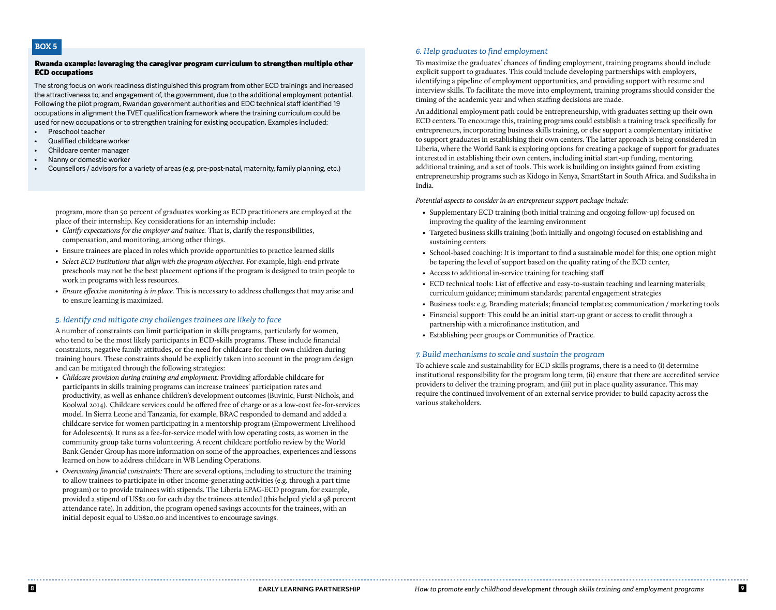### **BOX 5**

#### Rwanda example: leveraging the caregiver program curriculum to strengthen multiple other ECD occupations

The strong focus on work readiness distinguished this program from other ECD trainings and increased the attractiveness to, and engagement of, the government, due to the additional employment potential. Following the pilot program, Rwandan government authorities and EDC technical staff identified 19 occupations in alignment the TVET qualification framework where the training curriculum could be used for new occupations or to strengthen training for existing occupation. Examples included:

- Preschool teacher
- Qualified childcare worker
- Childcare center manager
- Nanny or domestic worker
- Counsellors / advisors for a variety of areas (e.g. pre-post-natal, maternity, family planning, etc.)

program, more than 50 percent of graduates working as ECD practitioners are employed at the place of their internship. Key considerations for an internship include:

- *Clarify expectations for the employer and trainee.* That is, clarify the responsibilities, compensation, and monitoring, among other things.
- Ensure trainees are placed in roles which provide opportunities to practice learned skills
- *Select ECD institutions that align with the program objectives.* For example, high-end private preschools may not be the best placement options if the program is designed to train people to work in programs with less resources.
- *• Ensure effective monitoring is in place.* This is necessary to address challenges that may arise and to ensure learning is maximized.

#### *5. Identify and mitigate any challenges trainees are likely to face*

A number of constraints can limit participation in skills programs, particularly for women, who tend to be the most likely participants in ECD-skills programs. These include financial constraints, negative family attitudes, or the need for childcare for their own children during training hours. These constraints should be explicitly taken into account in the program design and can be mitigated through the following strategies:

- *Childcare provision during training and employment:* Providing affordable childcare for participants in skills training programs can increase trainees' participation rates and productivity, as well as enhance children's development outcomes (Buvinic, Furst-Nichols, and Koolwal 2014). Childcare services could be offered free of charge or as a low-cost fee-for-services model. In Sierra Leone and Tanzania, for example, BRAC responded to demand and added a childcare service for women participating in a mentorship program (Empowerment Livelihood for Adolescents). It runs as a fee-for-service model with low operating costs, as women in the community group take turns volunteering. A recent childcare portfolio review by the World Bank Gender Group has more information on some of the approaches, experiences and lessons learned on how to address childcare in WB Lending Operations.
- *Overcoming financial constraints:* There are several options, including to structure the training to allow trainees to participate in other income-generating activities (e.g. through a part time program) or to provide trainees with stipends. The Liberia EPAG-ECD program, for example, provided a stipend of US\$2.00 for each day the trainees attended (this helped yield a 98 percent attendance rate). In addition, the program opened savings accounts for the trainees, with an initial deposit equal to US\$20.00 and incentives to encourage savings.

### *6. Help graduates to find employment*

To maximize the graduates' chances of finding employment, training programs should include explicit support to graduates. This could include developing partnerships with employers, identifying a pipeline of employment opportunities, and providing support with resume and interview skills. To facilitate the move into employment, training programs should consider the timing of the academic year and when staffing decisions are made.

An additional employment path could be entrepreneurship, with graduates setting up their own ECD centers. To encourage this, training programs could establish a training track specifically for entrepreneurs, incorporating business skills training, or else support a complementary initiative to support graduates in establishing their own centers. The latter approach is being considered in Liberia, where the World Bank is exploring options for creating a package of support for graduates interested in establishing their own centers, including initial start-up funding, mentoring, additional training, and a set of tools. This work is building on insights gained from existing entrepreneurship programs such as Kidogo in Kenya, SmartStart in South Africa, and Sudiksha in India.

*Potential aspects to consider in an entrepreneur support package include:*

- Supplementary ECD training (both initial training and ongoing follow-up) focused on improving the quality of the learning environment
- Targeted business skills training (both initially and ongoing) focused on establishing and sustaining centers
- School-based coaching: It is important to find a sustainable model for this; one option might be tapering the level of support based on the quality rating of the ECD center,
- Access to additional in-service training for teaching staff
- ECD technical tools: List of effective and easy-to-sustain teaching and learning materials; curriculum guidance; minimum standards; parental engagement strategies
- Business tools: e.g. Branding materials; financial templates; communication / marketing tools
- Financial support: This could be an initial start-up grant or access to credit through a partnership with a microfinance institution, and
- Establishing peer groups or Communities of Practice.

#### *7. Build mechanisms to scale and sustain the program*

To achieve scale and sustainability for ECD skills programs, there is a need to (i) determine institutional responsibility for the program long term, (ii) ensure that there are accredited service providers to deliver the training program, and (iii) put in place quality assurance. This may require the continued involvement of an external service provider to build capacity across the various stakeholders.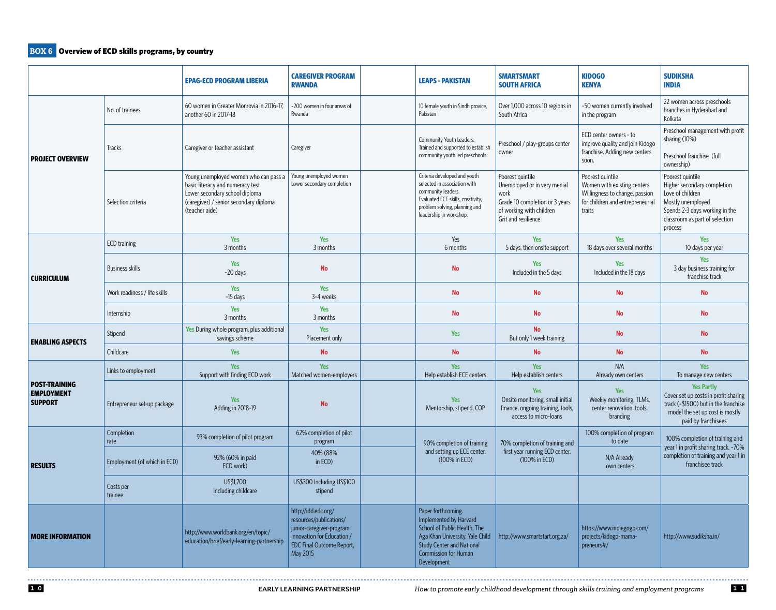# **BOX 6** Overview of ECD skills programs, by country

|                                                             |                              | <b>EPAG-ECD PROGRAM LIBERIA</b>                                                                                                                                         | <b>CAREGIVER PROGRAM</b><br><b>RWANDA</b>                                                                                                                |                                             | <b>LEAPS - PAKISTAN</b>                                                                                                                                                                    | <b>SMARTSMART</b><br><b>SOUTH AFRICA</b>                                                                                                      | <b>KIDOGO</b><br><b>KENYA</b>                                                                                                   | <b>SUDIKSHA</b><br><b>INDIA</b>                                                                                                                                         |
|-------------------------------------------------------------|------------------------------|-------------------------------------------------------------------------------------------------------------------------------------------------------------------------|----------------------------------------------------------------------------------------------------------------------------------------------------------|---------------------------------------------|--------------------------------------------------------------------------------------------------------------------------------------------------------------------------------------------|-----------------------------------------------------------------------------------------------------------------------------------------------|---------------------------------------------------------------------------------------------------------------------------------|-------------------------------------------------------------------------------------------------------------------------------------------------------------------------|
| <b>PROJECT OVERVIEW</b>                                     | No. of trainees              | 60 women in Greater Monrovia in 2016-17,<br>another 60 in 2017-18                                                                                                       | ~200 women in four areas of<br>Rwanda                                                                                                                    |                                             | 10 female youth in Sindh provice,<br>Pakistan                                                                                                                                              | Over 1,000 across 10 regions in<br>South Africa                                                                                               | ~50 women currently involved<br>in the program                                                                                  | 22 women across preschools<br>branches in Hyderabad and<br>Kolkata                                                                                                      |
|                                                             | <b>Tracks</b>                | Caregiver or teacher assistant                                                                                                                                          | Caregiver                                                                                                                                                |                                             | Community Youth Leaders:<br>Trained and supported to establish<br>community youth led preschools                                                                                           | Preschool / play-groups center<br>owner                                                                                                       | ECD center owners - to<br>improve quality and join Kidogo<br>franchise. Adding new centers<br>soon.                             | Preschool management with profit<br>sharing (10%)<br>Preschool franchise (full<br>ownership)                                                                            |
|                                                             | Selection criteria           | Young unemployed women who can pass a<br>basic literacy and numeracy test<br>Lower secondary school diploma<br>(caregiver) / senior secondary diploma<br>(teacher aide) | Young unemployed women<br>Lower secondary completion                                                                                                     |                                             | Criteria developed and youth<br>selected in association with<br>community leaders.<br>Evaluated ECE skills, creativity,<br>problem solving, planning and<br>leadership in workshop.        | Poorest quintile<br>Unemployed or in very menial<br>work<br>Grade 10 completion or 3 years<br>of working with children<br>Grit and resilience | Poorest quintile<br>Women with existing centers<br>Willingness to change, passion<br>for children and entrepreneurial<br>traits | Poorest quintile<br>Higher secondary completion<br>Love of children<br>Mostly unemployed<br>Spends 2-3 days working in the<br>classroom as part of selection<br>process |
|                                                             | <b>ECD</b> training          | <b>Yes</b><br>3 months                                                                                                                                                  | Yes<br>3 months                                                                                                                                          |                                             | Yes<br>6 months                                                                                                                                                                            | Yes<br>5 days, then onsite support                                                                                                            | <b>Yes</b><br>18 days over several months                                                                                       | Yes<br>10 days per year                                                                                                                                                 |
| <b>CURRICULUM</b>                                           | <b>Business skills</b>       | <b>Yes</b><br>~20 days                                                                                                                                                  | <b>No</b>                                                                                                                                                |                                             | <b>No</b>                                                                                                                                                                                  | Yes<br>Included in the 5 days                                                                                                                 | <b>Yes</b><br>Included in the 18 days                                                                                           | <b>Yes</b><br>3 day business training for<br>franchise track                                                                                                            |
|                                                             | Work readiness / life skills | <b>Yes</b><br>~15 days                                                                                                                                                  | Yes<br>3-4 weeks                                                                                                                                         |                                             | No                                                                                                                                                                                         | <b>No</b>                                                                                                                                     | <b>No</b>                                                                                                                       | <b>No</b>                                                                                                                                                               |
|                                                             | Internship                   | <b>Yes</b><br>3 months                                                                                                                                                  | <b>Yes</b><br>3 months                                                                                                                                   |                                             | <b>No</b>                                                                                                                                                                                  | <b>No</b>                                                                                                                                     | <b>No</b>                                                                                                                       | <b>No</b>                                                                                                                                                               |
| <b>ENABLING ASPECTS</b>                                     | Stipend                      | Yes During whole program, plus additional<br>savings scheme                                                                                                             | Yes<br>Placement only                                                                                                                                    |                                             | <b>Yes</b>                                                                                                                                                                                 | <b>No</b><br>But only 1 week training                                                                                                         | <b>No</b>                                                                                                                       | <b>No</b>                                                                                                                                                               |
|                                                             | Childcare                    | <b>Yes</b>                                                                                                                                                              | <b>No</b>                                                                                                                                                |                                             | <b>No</b>                                                                                                                                                                                  | <b>No</b>                                                                                                                                     | <b>No</b>                                                                                                                       | <b>No</b>                                                                                                                                                               |
| <b>POST-TRAINING</b><br><b>EMPLOYMENT</b><br><b>SUPPORT</b> | Links to employment          | <b>Yes</b><br>Support with finding ECD work                                                                                                                             | Yes<br>Matched women-employers                                                                                                                           |                                             | <b>Yes</b><br>Help establish ECE centers                                                                                                                                                   | <b>Yes</b><br>Help establish centers                                                                                                          | N/A<br>Already own centers                                                                                                      | <b>Yes</b><br>To manage new centers                                                                                                                                     |
|                                                             | Entrepreneur set-up package  | <b>Yes</b><br>Adding in 2018-19                                                                                                                                         | <b>No</b>                                                                                                                                                |                                             | <b>Yes</b><br>Mentorship, stipend, COP                                                                                                                                                     | Yes<br>Onsite monitoring, small initial<br>finance, ongoing training, tools,<br>access to micro-loans                                         | Yes<br>Weekly monitoring, TLMs,<br>center renovation, tools,<br>branding                                                        | <b>Yes Partly</b><br>Cover set up costs in profit sharing<br>track (~\$1500) but in the franchise<br>model the set up cost is mostly<br>paid by franchisees             |
| <b>RESULTS</b>                                              | Completion<br>rate           | 93% completion of pilot program                                                                                                                                         | 62% completion of pilot<br>program                                                                                                                       |                                             | 90% completion of training                                                                                                                                                                 | 70% completion of training and                                                                                                                | 100% completion of program<br>to date                                                                                           | 100% completion of training and                                                                                                                                         |
|                                                             | Employment (of which in ECD) | 92% (60% in paid<br>ECD work)                                                                                                                                           | 40% (88%<br>in ECD)                                                                                                                                      | and setting up ECE center.<br>(100% in ECD) |                                                                                                                                                                                            | first year running ECD center.<br>(100% in ECD)                                                                                               | N/A Already<br>own centers                                                                                                      | year 1 in profit sharing track. ~70%<br>completion of training and year 1 in<br>franchisee track                                                                        |
|                                                             | Costs per<br>trainee         | US\$1,700<br>Including childcare                                                                                                                                        | US\$300 Including US\$100<br>stipend                                                                                                                     |                                             |                                                                                                                                                                                            |                                                                                                                                               |                                                                                                                                 |                                                                                                                                                                         |
| <b>MORE INFORMATION</b>                                     |                              | http://www.worldbank.org/en/topic/<br>education/brief/early-learning-partnership                                                                                        | http://idd.edc.org/<br>resources/publications/<br>junior-caregiver-program<br>Innovation for Education /<br><b>EDC Final Outcome Report,</b><br>May 2015 |                                             | Paper forthcoming.<br>Implemented by Harvard<br>School of Public Health, The<br>Aga Khan University, Yale Child<br><b>Study Center and National</b><br>Commission for Human<br>Development | http://www.smartstart.org.za/                                                                                                                 | https://www.indiegogo.com/<br>projects/kidogo-mama-<br>preneurs#/                                                               | http://www.sudiksha.in/                                                                                                                                                 |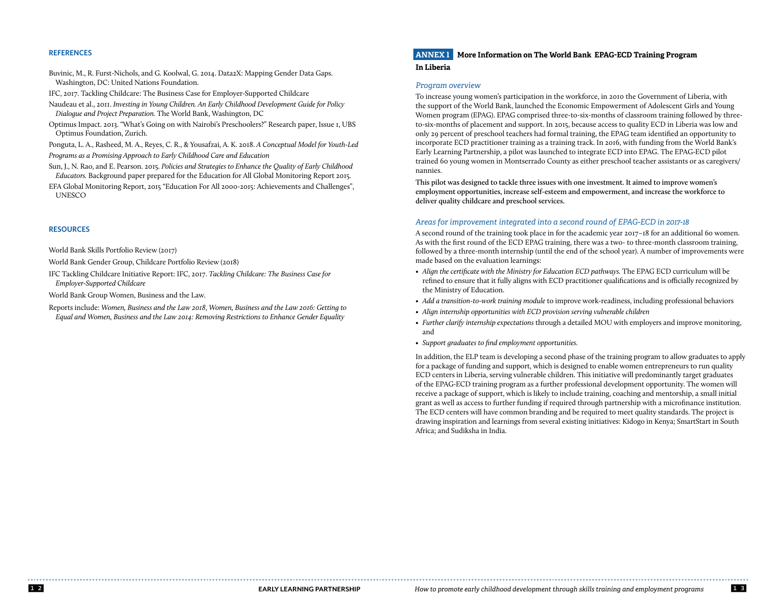### **REFERENCES**

Buvinic, M., R. Furst-Nichols, and G. Koolwal, G. 2014. Data2X: Mapping Gender Data Gaps. Washington, DC: United Nations Foundation.

IFC, 2017. Tackling Childcare: The Business Case for Employer-Supported Childcare

Naudeau et al., 2011. *Investing in Young Children. An Early Childhood Development Guide for Policy Dialogue and Project Preparation.* The World Bank, Washington, DC

Optimus Impact. 2013. "What's Going on with Nairobi's Preschoolers?" Research paper, Issue 1, UBS Optimus Foundation, Zurich.

Ponguta, L. A., Rasheed, M. A., Reyes, C. R., & Yousafzai, A. K. 2018. *A Conceptual Model for Youth-Led Programs as a Promising Approach to Early Childhood Care and Education*

Sun, J., N. Rao, and E. Pearson. 2015. *Policies and Strategies to Enhance the Quality of Early Childhood Educators.* Background paper prepared for the Education for All Global Monitoring Report 2015.

EFA Global Monitoring Report, 2015 "Education For All 2000-2015: Achievements and Challenges", UNESCO

### **RESOURCES**

World Bank Skills Portfolio Review (2017)

World Bank Gender Group, Childcare Portfolio Review (2018)

IFC Tackling Childcare Initiative Report: IFC, 2017. *Tackling Childcare: The Business Case for Employer-Supported Childcare*

World Bank Group Women, Business and the Law.

Reports include: *Women, Business and the Law 2018*, *Women, Business and the Law 2016: Getting to Equal and Women, Business and the Law 2014: Removing Restrictions to Enhance Gender Equality*

# **ANNEX 1 More Information on The World Bank EPAG-ECD Training Program**

### **In Liberia**

#### *Program overview*

To increase young women's participation in the workforce, in 2010 the Government of Liberia, with the support of the World Bank, launched the Economic Empowerment of Adolescent Girls and Young Women program (EPAG). EPAG comprised three-to-six-months of classroom training followed by threeto-six-months of placement and support. In 2015, because access to quality ECD in Liberia was low and only 29 percent of preschool teachers had formal training, the EPAG team identified an opportunity to incorporate ECD practitioner training as a training track. In 2016, with funding from the World Bank's Early Learning Partnership, a pilot was launched to integrate ECD into EPAG. The EPAG-ECD pilot trained 60 young women in Montserrado County as either preschool teacher assistants or as caregivers/ nannies.

**This pilot was designed to tackle three issues with one investment. It aimed to improve women's employment opportunities, increase self-esteem and empowerment, and increase the workforce to deliver quality childcare and preschool services.**

#### *Areas for improvement integrated into a second round of EPAG-ECD in 2017-18*

A second round of the training took place in for the academic year 2017–18 for an additional 60 women. As with the first round of the ECD EPAG training, there was a two- to three-month classroom training, followed by a three-month internship (until the end of the school year). A number of improvements were made based on the evaluation learnings:

- Align the certificate with the Ministry for Education ECD pathways. The EPAG ECD curriculum will be refined to ensure that it fully aligns with ECD practitioner qualifications and is officially recognized by the Ministry of Education.
- *Add a transition-to-work training module* to improve work-readiness, including professional behaviors
- *Align internship opportunities with ECD provision serving vulnerable children*
- *Further clarify internship expectations* through a detailed MOU with employers and improve monitoring, and
- *• Support graduates to find employment opportunities.*

In addition, the ELP team is developing a second phase of the training program to allow graduates to apply for a package of funding and support, which is designed to enable women entrepreneurs to run quality ECD centers in Liberia, serving vulnerable children. This initiative will predominantly target graduates of the EPAG-ECD training program as a further professional development opportunity. The women will receive a package of support, which is likely to include training, coaching and mentorship, a small initial grant as well as access to further funding if required through partnership with a microfinance institution. The ECD centers will have common branding and be required to meet quality standards. The project is drawing inspiration and learnings from several existing initiatives: Kidogo in Kenya; SmartStart in South Africa; and Sudiksha in India.